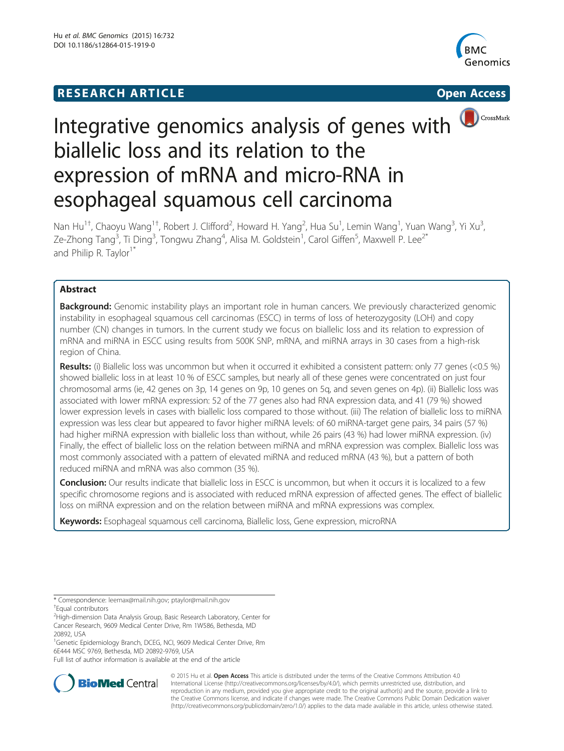# **RESEARCH ARTICLE Example 2014 12:30 The SEAR CHIPS 2014 12:30 The Open Access**



CrossMark

# Integrative genomics analysis of genes with biallelic loss and its relation to the expression of mRNA and micro-RNA in esophageal squamous cell carcinoma

Nan Hu<sup>1†</sup>, Chaoyu Wang<sup>1†</sup>, Robert J. Clifford<sup>2</sup>, Howard H. Yang<sup>2</sup>, Hua Su<sup>1</sup>, Lemin Wang<sup>1</sup>, Yuan Wang<sup>3</sup>, Yi Xu<sup>3</sup> , Ze-Zhong Tang<sup>3</sup>, Ti Ding<sup>3</sup>, Tongwu Zhang<sup>4</sup>, Alisa M. Goldstein<sup>1</sup>, Carol Giffen<sup>5</sup>, Maxwell P. Lee<sup>2\*</sup> and Philip R. Taylor<sup>1\*</sup>

# Abstract

**Background:** Genomic instability plays an important role in human cancers. We previously characterized genomic instability in esophageal squamous cell carcinomas (ESCC) in terms of loss of heterozygosity (LOH) and copy number (CN) changes in tumors. In the current study we focus on biallelic loss and its relation to expression of mRNA and miRNA in ESCC using results from 500K SNP, mRNA, and miRNA arrays in 30 cases from a high-risk region of China.

Results: (i) Biallelic loss was uncommon but when it occurred it exhibited a consistent pattern: only 77 genes (<0.5 %) showed biallelic loss in at least 10 % of ESCC samples, but nearly all of these genes were concentrated on just four chromosomal arms (ie, 42 genes on 3p, 14 genes on 9p, 10 genes on 5q, and seven genes on 4p). (ii) Biallelic loss was associated with lower mRNA expression: 52 of the 77 genes also had RNA expression data, and 41 (79 %) showed lower expression levels in cases with biallelic loss compared to those without. (iii) The relation of biallelic loss to miRNA expression was less clear but appeared to favor higher miRNA levels: of 60 miRNA-target gene pairs, 34 pairs (57 %) had higher miRNA expression with biallelic loss than without, while 26 pairs (43 %) had lower miRNA expression. (iv) Finally, the effect of biallelic loss on the relation between miRNA and mRNA expression was complex. Biallelic loss was most commonly associated with a pattern of elevated miRNA and reduced mRNA (43 %), but a pattern of both reduced miRNA and mRNA was also common (35 %).

**Conclusion:** Our results indicate that biallelic loss in ESCC is uncommon, but when it occurs it is localized to a few specific chromosome regions and is associated with reduced mRNA expression of affected genes. The effect of biallelic loss on miRNA expression and on the relation between miRNA and mRNA expressions was complex.

Keywords: Esophageal squamous cell carcinoma, Biallelic loss, Gene expression, microRNA

\* Correspondence: [leemax@mail.nih.gov](mailto:leemax@mail.nih.gov); [ptaylor@mail.nih.gov](mailto:ptaylor@mail.nih.gov) † Equal contributors

<sup>2</sup>High-dimension Data Analysis Group, Basic Research Laboratory, Center for Cancer Research, 9609 Medical Center Drive, Rm 1W586, Bethesda, MD 20892, USA

<sup>1</sup>Genetic Epidemiology Branch, DCEG, NCI, 9609 Medical Center Drive, Rm 6E444 MSC 9769, Bethesda, MD 20892-9769, USA

Full list of author information is available at the end of the article



© 2015 Hu et al. Open Access This article is distributed under the terms of the Creative Commons Attribution 4.0 International License [\(http://creativecommons.org/licenses/by/4.0/](http://creativecommons.org/licenses/by/4.0/)), which permits unrestricted use, distribution, and reproduction in any medium, provided you give appropriate credit to the original author(s) and the source, provide a link to the Creative Commons license, and indicate if changes were made. The Creative Commons Public Domain Dedication waiver [\(http://creativecommons.org/publicdomain/zero/1.0/](http://creativecommons.org/publicdomain/zero/1.0/)) applies to the data made available in this article, unless otherwise stated.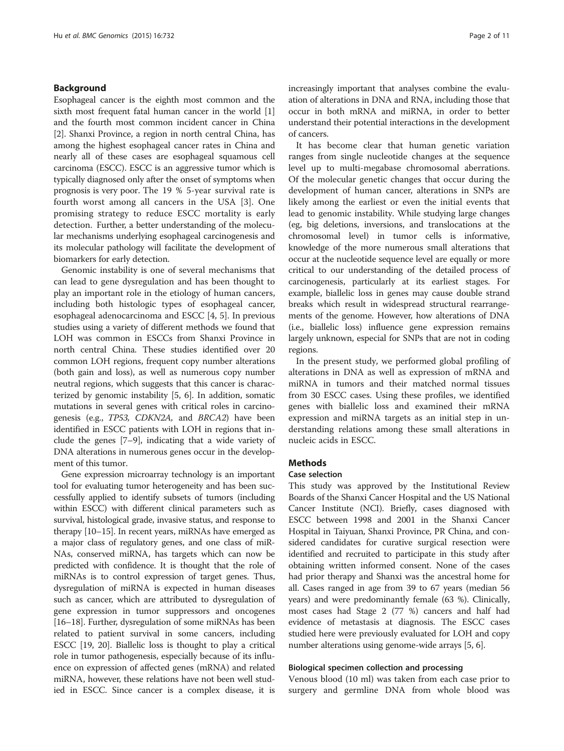#### <span id="page-1-0"></span>Background

Esophageal cancer is the eighth most common and the sixth most frequent fatal human cancer in the world [[1](#page-9-0)] and the fourth most common incident cancer in China [[2\]](#page-9-0). Shanxi Province, a region in north central China, has among the highest esophageal cancer rates in China and nearly all of these cases are esophageal squamous cell carcinoma (ESCC). ESCC is an aggressive tumor which is typically diagnosed only after the onset of symptoms when prognosis is very poor. The 19 % 5-year survival rate is fourth worst among all cancers in the USA [[3\]](#page-9-0). One promising strategy to reduce ESCC mortality is early detection. Further, a better understanding of the molecular mechanisms underlying esophageal carcinogenesis and its molecular pathology will facilitate the development of biomarkers for early detection.

Genomic instability is one of several mechanisms that can lead to gene dysregulation and has been thought to play an important role in the etiology of human cancers, including both histologic types of esophageal cancer, esophageal adenocarcinoma and ESCC [\[4, 5\]](#page-9-0). In previous studies using a variety of different methods we found that LOH was common in ESCCs from Shanxi Province in north central China. These studies identified over 20 common LOH regions, frequent copy number alterations (both gain and loss), as well as numerous copy number neutral regions, which suggests that this cancer is characterized by genomic instability [\[5, 6\]](#page-9-0). In addition, somatic mutations in several genes with critical roles in carcinogenesis (e.g., TP53, CDKN2A, and BRCA2) have been identified in ESCC patients with LOH in regions that include the genes [[7](#page-9-0)–[9](#page-9-0)], indicating that a wide variety of DNA alterations in numerous genes occur in the development of this tumor.

Gene expression microarray technology is an important tool for evaluating tumor heterogeneity and has been successfully applied to identify subsets of tumors (including within ESCC) with different clinical parameters such as survival, histological grade, invasive status, and response to therapy [\[10](#page-9-0)–[15\]](#page-9-0). In recent years, miRNAs have emerged as a major class of regulatory genes, and one class of miR-NAs, conserved miRNA, has targets which can now be predicted with confidence. It is thought that the role of miRNAs is to control expression of target genes. Thus, dysregulation of miRNA is expected in human diseases such as cancer, which are attributed to dysregulation of gene expression in tumor suppressors and oncogenes [[16](#page-9-0)–[18\]](#page-10-0). Further, dysregulation of some miRNAs has been related to patient survival in some cancers, including ESCC [\[19](#page-10-0), [20\]](#page-10-0). Biallelic loss is thought to play a critical role in tumor pathogenesis, especially because of its influence on expression of affected genes (mRNA) and related miRNA, however, these relations have not been well studied in ESCC. Since cancer is a complex disease, it is

increasingly important that analyses combine the evaluation of alterations in DNA and RNA, including those that occur in both mRNA and miRNA, in order to better understand their potential interactions in the development of cancers.

It has become clear that human genetic variation ranges from single nucleotide changes at the sequence level up to multi-megabase chromosomal aberrations. Of the molecular genetic changes that occur during the development of human cancer, alterations in SNPs are likely among the earliest or even the initial events that lead to genomic instability. While studying large changes (eg, big deletions, inversions, and translocations at the chromosomal level) in tumor cells is informative, knowledge of the more numerous small alterations that occur at the nucleotide sequence level are equally or more critical to our understanding of the detailed process of carcinogenesis, particularly at its earliest stages. For example, biallelic loss in genes may cause double strand breaks which result in widespread structural rearrangements of the genome. However, how alterations of DNA (i.e., biallelic loss) influence gene expression remains largely unknown, especial for SNPs that are not in coding regions.

In the present study, we performed global profiling of alterations in DNA as well as expression of mRNA and miRNA in tumors and their matched normal tissues from 30 ESCC cases. Using these profiles, we identified genes with biallelic loss and examined their mRNA expression and miRNA targets as an initial step in understanding relations among these small alterations in nucleic acids in ESCC.

#### **Methods**

#### Case selection

This study was approved by the Institutional Review Boards of the Shanxi Cancer Hospital and the US National Cancer Institute (NCI). Briefly, cases diagnosed with ESCC between 1998 and 2001 in the Shanxi Cancer Hospital in Taiyuan, Shanxi Province, PR China, and considered candidates for curative surgical resection were identified and recruited to participate in this study after obtaining written informed consent. None of the cases had prior therapy and Shanxi was the ancestral home for all. Cases ranged in age from 39 to 67 years (median 56 years) and were predominantly female (63 %). Clinically, most cases had Stage 2 (77 %) cancers and half had evidence of metastasis at diagnosis. The ESCC cases studied here were previously evaluated for LOH and copy number alterations using genome-wide arrays [\[5](#page-9-0), [6\]](#page-9-0).

#### Biological specimen collection and processing

Venous blood (10 ml) was taken from each case prior to surgery and germline DNA from whole blood was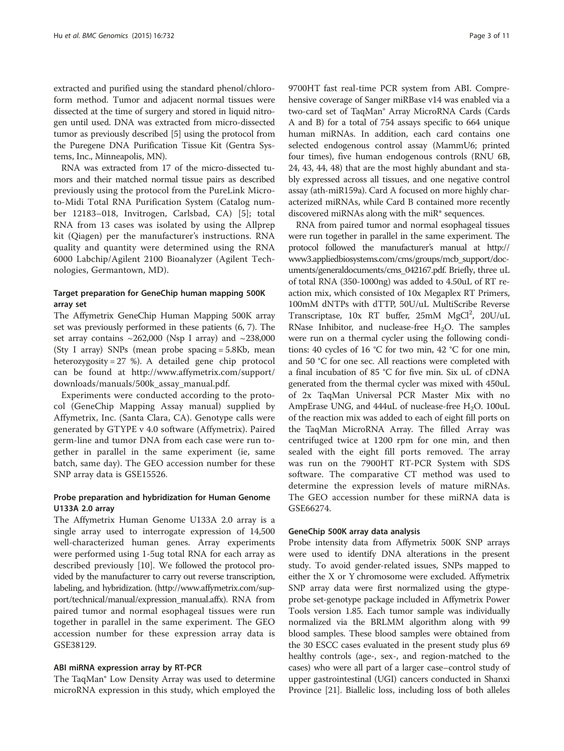extracted and purified using the standard phenol/chloroform method. Tumor and adjacent normal tissues were dissected at the time of surgery and stored in liquid nitrogen until used. DNA was extracted from micro-dissected tumor as previously described [[5](#page-9-0)] using the protocol from the Puregene DNA Purification Tissue Kit (Gentra Systems, Inc., Minneapolis, MN).

RNA was extracted from 17 of the micro-dissected tumors and their matched normal tissue pairs as described previously using the protocol from the PureLink Microto-Midi Total RNA Purification System (Catalog number 12183–018, Invitrogen, Carlsbad, CA) [[5\]](#page-9-0); total RNA from 13 cases was isolated by using the Allprep kit (Qiagen) per the manufacturer's instructions. RNA quality and quantity were determined using the RNA 6000 Labchip/Agilent 2100 Bioanalyzer (Agilent Technologies, Germantown, MD).

# Target preparation for GeneChip human mapping 500K array set

The Affymetrix GeneChip Human Mapping 500K array set was previously performed in these patients (6, 7). The set array contains  $\sim$  262,000 (Nsp I array) and  $\sim$  238,000 (Sty I array) SNPs (mean probe spacing = 5.8Kb, mean heterozygosity = 27 %). A detailed gene chip protocol can be found at [http://www.affymetrix.com/support/](http://www.affymetrix.com/support/downloads/manuals/500k_assay_manual.pdf) [downloads/manuals/500k\\_assay\\_manual.pdf.](http://www.affymetrix.com/support/downloads/manuals/500k_assay_manual.pdf)

Experiments were conducted according to the protocol (GeneChip Mapping Assay manual) supplied by Affymetrix, Inc. (Santa Clara, CA). Genotype calls were generated by GTYPE v 4.0 software (Affymetrix). Paired germ-line and tumor DNA from each case were run together in parallel in the same experiment (ie, same batch, same day). The GEO accession number for these SNP array data is GSE15526.

# Probe preparation and hybridization for Human Genome U133A 2.0 array

The Affymetrix Human Genome U133A 2.0 array is a single array used to interrogate expression of 14,500 well-characterized human genes. Array experiments were performed using 1-5ug total RNA for each array as described previously [\[10](#page-9-0)]. We followed the protocol provided by the manufacturer to carry out reverse transcription, labeling, and hybridization. [\(http://www.affymetrix.com/sup](http://www.affymetrix.com/support/technical/manual/expression_manual.affx)[port/technical/manual/expression\\_manual.affx\)](http://www.affymetrix.com/support/technical/manual/expression_manual.affx). RNA from paired tumor and normal esophageal tissues were run together in parallel in the same experiment. The GEO accession number for these expression array data is GSE38129.

# ABI miRNA expression array by RT-PCR

The TaqMan® Low Density Array was used to determine microRNA expression in this study, which employed the 9700HT fast real-time PCR system from ABI. Comprehensive coverage of Sanger miRBase v14 was enabled via a two-card set of TaqMan® Array MicroRNA Cards (Cards A and B) for a total of 754 assays specific to 664 unique human miRNAs. In addition, each card contains one selected endogenous control assay (MammU6; printed four times), five human endogenous controls (RNU 6B, 24, 43, 44, 48) that are the most highly abundant and stably expressed across all tissues, and one negative control assay (ath-miR159a). Card A focused on more highly characterized miRNAs, while Card B contained more recently discovered miRNAs along with the miR\* sequences.

RNA from paired tumor and normal esophageal tissues were run together in parallel in the same experiment. The protocol followed the manufacturer's manual at [http://](http://www3.appliedbiosystems.com/cms/groups/mcb_support/documents/generaldocuments/cms_042167.pdf) [www3.appliedbiosystems.com/cms/groups/mcb\\_support/doc](http://www3.appliedbiosystems.com/cms/groups/mcb_support/documents/generaldocuments/cms_042167.pdf)[uments/generaldocuments/cms\\_042167.pdf.](http://www3.appliedbiosystems.com/cms/groups/mcb_support/documents/generaldocuments/cms_042167.pdf) Briefly, three uL of total RNA (350-1000ng) was added to 4.50uL of RT reaction mix, which consisted of 10x Megaplex RT Primers, 100mM dNTPs with dTTP, 50U/uL MultiScribe Reverse Transcriptase, 10x RT buffer, 25mM MgCl<sup>2</sup>, 20U/uL RNase Inhibitor, and nuclease-free  $H_2O$ . The samples were run on a thermal cycler using the following conditions: 40 cycles of 16 °C for two min, 42 °C for one min, and 50 °C for one sec. All reactions were completed with a final incubation of 85 °C for five min. Six uL of cDNA generated from the thermal cycler was mixed with 450uL of 2x TaqMan Universal PCR Master Mix with no AmpErase UNG, and  $444$ uL of nuclease-free H<sub>2</sub>O. 100uL of the reaction mix was added to each of eight fill ports on the TaqMan MicroRNA Array. The filled Array was centrifuged twice at 1200 rpm for one min, and then sealed with the eight fill ports removed. The array was run on the 7900HT RT-PCR System with SDS software. The comparative CT method was used to determine the expression levels of mature miRNAs. The GEO accession number for these miRNA data is GSE66274.

# GeneChip 500K array data analysis

Probe intensity data from Affymetrix 500K SNP arrays were used to identify DNA alterations in the present study. To avoid gender-related issues, SNPs mapped to either the X or Y chromosome were excluded. Affymetrix SNP array data were first normalized using the gtypeprobe set-genotype package included in Affymetrix Power Tools version 1.85. Each tumor sample was individually normalized via the BRLMM algorithm along with 99 blood samples. These blood samples were obtained from the 30 ESCC cases evaluated in the present study plus 69 healthy controls (age-, sex-, and region-matched to the cases) who were all part of a larger case–control study of upper gastrointestinal (UGI) cancers conducted in Shanxi Province [\[21](#page-10-0)]. Biallelic loss, including loss of both alleles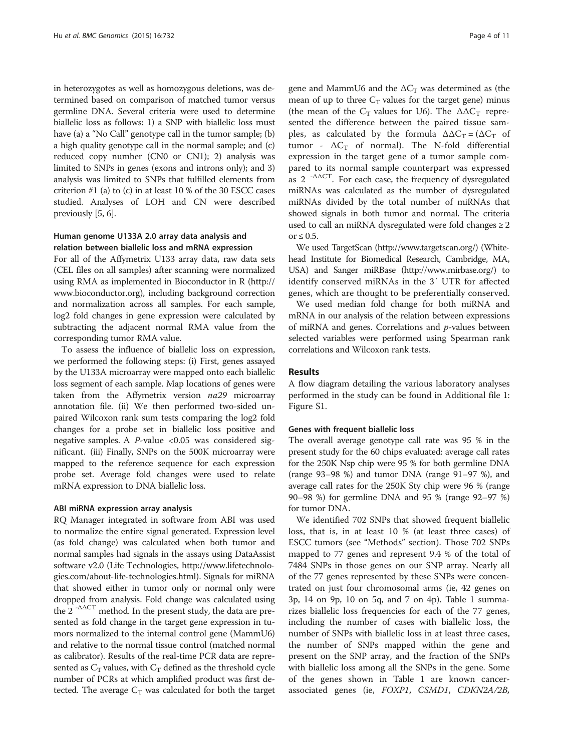in heterozygotes as well as homozygous deletions, was determined based on comparison of matched tumor versus germline DNA. Several criteria were used to determine biallelic loss as follows: 1) a SNP with biallelic loss must have (a) a "No Call" genotype call in the tumor sample; (b) a high quality genotype call in the normal sample; and (c) reduced copy number (CN0 or CN1); 2) analysis was limited to SNPs in genes (exons and introns only); and 3) analysis was limited to SNPs that fulfilled elements from criterion #1 (a) to (c) in at least 10 % of the 30 ESCC cases studied. Analyses of LOH and CN were described previously [\[5](#page-9-0), [6](#page-9-0)].

# Human genome U133A 2.0 array data analysis and relation between biallelic loss and mRNA expression

For all of the Affymetrix U133 array data, raw data sets (CEL files on all samples) after scanning were normalized using RMA as implemented in Bioconductor in R ([http://](http://www.bioconductor.org/) [www.bioconductor.org\)](http://www.bioconductor.org/), including background correction and normalization across all samples. For each sample, log2 fold changes in gene expression were calculated by subtracting the adjacent normal RMA value from the corresponding tumor RMA value.

To assess the influence of biallelic loss on expression, we performed the following steps: (i) First, genes assayed by the U133A microarray were mapped onto each biallelic loss segment of each sample. Map locations of genes were taken from the Affymetrix version na29 microarray annotation file. (ii) We then performed two-sided unpaired Wilcoxon rank sum tests comparing the log2 fold changes for a probe set in biallelic loss positive and negative samples. A  $P$ -value <0.05 was considered significant. (iii) Finally, SNPs on the 500K microarray were mapped to the reference sequence for each expression probe set. Average fold changes were used to relate mRNA expression to DNA biallelic loss.

#### ABI miRNA expression array analysis

RQ Manager integrated in software from ABI was used to normalize the entire signal generated. Expression level (as fold change) was calculated when both tumor and normal samples had signals in the assays using DataAssist software v2.0 (Life Technologies, [http://www.lifetechnolo](http://www.lifetechnologies.com/about-life-technologies.html)[gies.com/about-life-technologies.html](http://www.lifetechnologies.com/about-life-technologies.html)). Signals for miRNA that showed either in tumor only or normal only were dropped from analysis. Fold change was calculated using the 2<sup>-ΔΔCT</sup> method. In the present study, the data are presented as fold change in the target gene expression in tumors normalized to the internal control gene (MammU6) and relative to the normal tissue control (matched normal as calibrator). Results of the real-time PCR data are represented as  $C_T$  values, with  $C_T$  defined as the threshold cycle number of PCRs at which amplified product was first detected. The average  $C_T$  was calculated for both the target

gene and MammU6 and the  $\Delta C_T$  was determined as (the mean of up to three  $C_T$  values for the target gene) minus (the mean of the  $C_T$  values for U6). The  $\Delta \Delta C_T$  represented the difference between the paired tissue samples, as calculated by the formula  $\Delta \Delta C_T = (\Delta C_T)$  of tumor -  $\Delta C_T$  of normal). The N-fold differential expression in the target gene of a tumor sample compared to its normal sample counterpart was expressed as 2 -ΔΔCT. For each case, the frequency of dysregulated miRNAs was calculated as the number of dysregulated miRNAs divided by the total number of miRNAs that showed signals in both tumor and normal. The criteria used to call an miRNA dysregulated were fold changes  $\geq 2$ or  $\leq 0.5$ .

We used TargetScan [\(http://www.targetscan.org/](http://www.targetscan.org/)) (Whitehead Institute for Biomedical Research, Cambridge, MA, USA) and Sanger miRBase [\(http://www.mirbase.org/](http://www.mirbase.org/)) to identify conserved miRNAs in the 3′ UTR for affected genes, which are thought to be preferentially conserved.

We used median fold change for both miRNA and mRNA in our analysis of the relation between expressions of miRNA and genes. Correlations and p-values between selected variables were performed using Spearman rank correlations and Wilcoxon rank tests.

# Results

A flow diagram detailing the various laboratory analyses performed in the study can be found in Additional file [1](#page-9-0): Figure S1.

#### Genes with frequent biallelic loss

The overall average genotype call rate was 95 % in the present study for the 60 chips evaluated: average call rates for the 250K Nsp chip were 95 % for both germline DNA (range 93–98 %) and tumor DNA (range 91–97 %), and average call rates for the 250K Sty chip were 96 % (range 90–98 %) for germline DNA and 95 % (range 92–97 %) for tumor DNA.

We identified 702 SNPs that showed frequent biallelic loss, that is, in at least 10 % (at least three cases) of ESCC tumors (see "[Methods](#page-1-0)" section). Those 702 SNPs mapped to 77 genes and represent 9.4 % of the total of 7484 SNPs in those genes on our SNP array. Nearly all of the 77 genes represented by these SNPs were concentrated on just four chromosomal arms (ie, 42 genes on 3p, 14 on 9p, 10 on 5q, and 7 on 4p). Table [1](#page-4-0) summarizes biallelic loss frequencies for each of the 77 genes, including the number of cases with biallelic loss, the number of SNPs with biallelic loss in at least three cases, the number of SNPs mapped within the gene and present on the SNP array, and the fraction of the SNPs with biallelic loss among all the SNPs in the gene. Some of the genes shown in Table [1](#page-4-0) are known cancerassociated genes (ie, FOXP1, CSMD1, CDKN2A/2B,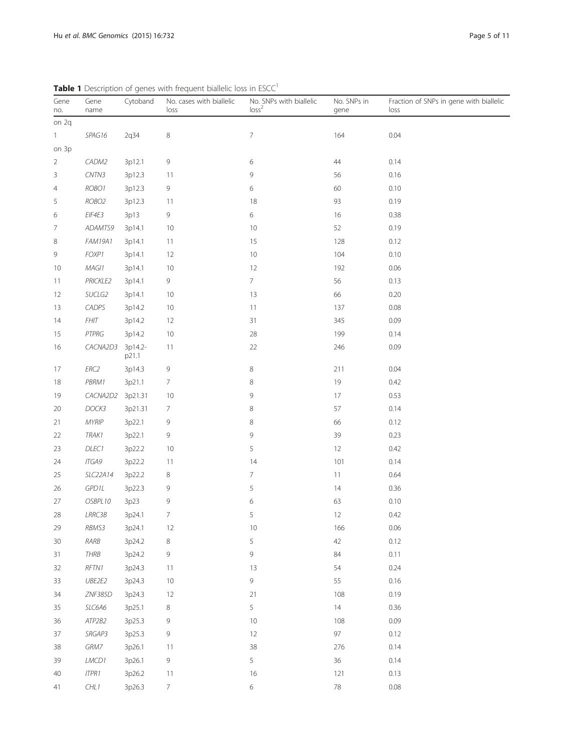| Gene<br>no.    | Gene<br>name      | Cytoband         | No. cases with biallelic<br>loss | No. SNPs with biallelic<br>loss <sup>2</sup> | No. SNPs in<br>gene | Fraction of SNPs in gene with biallelic<br>loss |
|----------------|-------------------|------------------|----------------------------------|----------------------------------------------|---------------------|-------------------------------------------------|
| on 2q          |                   |                  |                                  |                                              |                     |                                                 |
| 1              | SPAG16            | 2q34             | 8                                | 7                                            | 164                 | 0.04                                            |
| on 3p          |                   |                  |                                  |                                              |                     |                                                 |
| $\overline{2}$ | CADM2             | 3p12.1           | 9                                | 6                                            | 44                  | 0.14                                            |
| 3              | CNTN3             | 3p12.3           | 11                               | 9                                            | 56                  | 0.16                                            |
| 4              | ROBO1             | 3p12.3           | 9                                | 6                                            | 60                  | 0.10                                            |
| 5              | ROBO <sub>2</sub> | 3p12.3           | 11                               | 18                                           | 93                  | 0.19                                            |
| 6              | EIF4E3            | 3p13             | 9                                | 6                                            | 16                  | 0.38                                            |
| 7              | ADAMTS9           | 3p14.1           | 10                               | 10                                           | 52                  | 0.19                                            |
| 8              | <b>FAM19A1</b>    | 3p14.1           | 11                               | 15                                           | 128                 | 0.12                                            |
| 9              | FOXP1             | 3p14.1           | 12                               | 10                                           | 104                 | 0.10                                            |
| 10             | MAG11             | 3p14.1           | 10                               | 12                                           | 192                 | 0.06                                            |
| 11             | <b>PRICKLE2</b>   | 3p14.1           | 9                                | $\overline{7}$                               | 56                  | 0.13                                            |
| 12             | SUCLG2            | 3p14.1           | 10                               | 13                                           | 66                  | 0.20                                            |
| 13             | CADPS             | 3p14.2           | 10                               | 11                                           | 137                 | 0.08                                            |
| 14             | <b>FHIT</b>       | 3p14.2           | 12                               | 31                                           | 345                 | 0.09                                            |
| 15             | PTPRG             | 3p14.2           | 10                               | 28                                           | 199                 | 0.14                                            |
| 16             | CACNA2D3          | 3p14.2-<br>p21.1 | 11                               | 22                                           | 246                 | 0.09                                            |
| 17             | ERC2              | 3p14.3           | 9                                | 8                                            | 211                 | 0.04                                            |
| 18             | PBRM1             | 3p21.1           | 7                                | 8                                            | 19                  | 0.42                                            |
| 19             | CACNA2D2          | 3p21.31          | 10                               | 9                                            | 17                  | 0.53                                            |
| 20             | DOCK3             | 3p21.31          | $\overline{7}$                   | 8                                            | 57                  | 0.14                                            |
| 21             | <b>MYRIP</b>      | 3p22.1           | 9                                | 8                                            | 66                  | 0.12                                            |
| 22             | TRAK1             | 3p22.1           | 9                                | 9                                            | 39                  | 0.23                                            |
| 23             | DLEC1             | 3p22.2           | 10                               | 5                                            | 12                  | 0.42                                            |
| 24             | ITGA9             | 3p22.2           | 11                               | 14                                           | 101                 | 0.14                                            |
| 25             | SLC22A14          | 3p22.2           | 8                                | 7                                            | 11                  | 0.64                                            |
| 26             | GPD1L             | 3p22.3           | 9                                | 5                                            | 14                  | 0.36                                            |
| 27             | OSBPL10           | 3p23             | 9                                | 6                                            | 63                  | 0.10                                            |
| 28             | LRRC3B            | 3p24.1           | $\overline{7}$                   | 5                                            | 12                  | 0.42                                            |
| 29             | RBMS3             | 3p24.1           | 12                               | 10                                           | 166                 | 0.06                                            |
| 30             | RARB              | 3p24.2           | 8                                | 5                                            | 42                  | 0.12                                            |
| 31             | THRB              | 3p24.2           | 9                                | 9                                            | 84                  | 0.11                                            |
| 32             | RFTN1             | 3p24.3           | 11                               | 13                                           | 54                  | 0.24                                            |
| 33             | UBE2E2            | 3p24.3           | 10                               | 9                                            | 55                  | 0.16                                            |
| 34             | ZNF385D           | 3p24.3           | 12                               | 21                                           | 108                 | 0.19                                            |
| 35             | SLC6A6            | 3p25.1           | $\,8$                            | 5                                            | 14                  | 0.36                                            |
| 36             | ATP2B2            | 3p25.3           | 9                                | 10                                           | 108                 | 0.09                                            |
| 37             | SRGAP3            | 3p25.3           | 9                                | 12                                           | 97                  | 0.12                                            |
| 38             | GRM7              | 3p26.1           | 11                               | 38                                           | 276                 | 0.14                                            |
| 39             | LMCD1             | 3p26.1           | 9                                | 5                                            | 36                  | 0.14                                            |
| 40             | <b>ITPR1</b>      | 3p26.2           | 11                               | 16                                           | 121                 | 0.13                                            |
| 41             | CHLI              | 3p26.3           | $\overline{7}$                   | 6                                            | 78                  | 0.08                                            |

<span id="page-4-0"></span>Table 1 Description of genes with frequent biallelic loss in ESCC<sup>1</sup>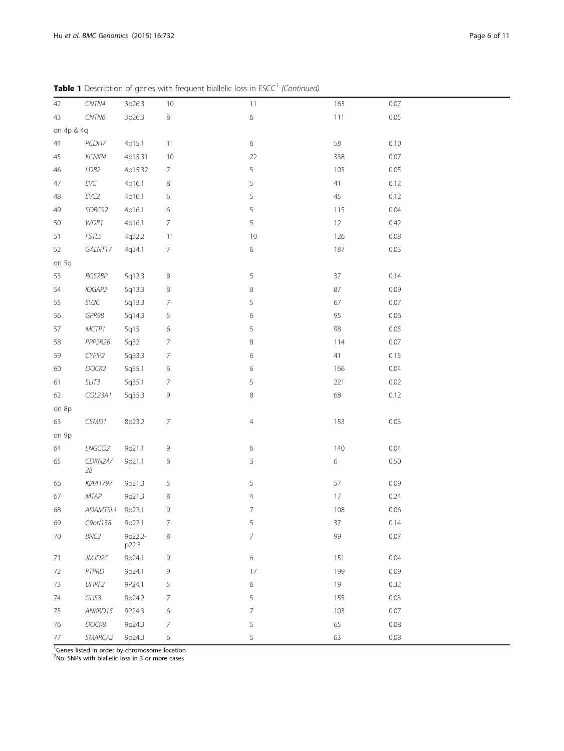| 42         | CNTN4         | 3p26.3           | 10               | 11             | 163    | 0.07 |
|------------|---------------|------------------|------------------|----------------|--------|------|
| 43         | CNTN6         | 3p26.3           | $\,8\,$          | $\,$ 6 $\,$    | 111    | 0.05 |
| on 4p & 4q |               |                  |                  |                |        |      |
| $44$       | PCDH7         | 4p15.1           | 11               | $\,$ 6 $\,$    | 58     | 0.10 |
| 45         | KCNIP4        | 4p15.31          | 10               | 22             | 338    | 0.07 |
| 46         | LDB2          | 4p15.32          | $\overline{7}$   | 5              | 103    | 0.05 |
| $47\,$     | $EVC$         | 4p16.1           | 8                | 5              | 41     | 0.12 |
| 48         | $EVC2$        | 4p16.1           | 6                | $\sqrt{5}$     | $45\,$ | 0.12 |
| 49         | SORCS2        | 4p16.1           | $\,$ 6 $\,$      | 5              | 115    | 0.04 |
| 50         | $W\!D\!RI$    | 4p16.1           | $\overline{7}$   | 5              | 12     | 0.42 |
| 51         | FSTL5         | 4q32.2           | 11               | 10             | 126    | 0.08 |
| 52         | GALNT17       | 4q34.1           | $\boldsymbol{7}$ | $\,$ 6 $\,$    | 187    | 0.03 |
| on 5q      |               |                  |                  |                |        |      |
| 53         | RGS7BP        | 5q12.3           | $\,8\,$          | 5              | 37     | 0.14 |
| 54         | IQGAP2        | 5q13.3           | $\,8\,$          | $\,8\,$        | 87     | 0.09 |
| 55         | SV2C          | 5q13.3           | 7                | 5              | 67     | 0.07 |
| 56         | GPR98         | 5q14.3           | 5                | 6              | 95     | 0.06 |
| 57         | MCTP1         | 5q15             | 6                | 5              | 98     | 0.05 |
| 58         | PPP2R2B       | 5q32             | $\boldsymbol{7}$ | $\,8\,$        | 114    | 0.07 |
| 59         | CYFIP2        | 5q33.3           | $\overline{7}$   | 6              | 41     | 0.15 |
| 60         | DOCK2         | 5q35.1           | $\,$ 6 $\,$      | 6              | 166    | 0.04 |
| 61         | SLIT3         | 5q35.1           | $\overline{7}$   | 5              | 221    | 0.02 |
| 62         | COL23A1       | 5q35.3           | 9                | $\,8\,$        | 68     | 0.12 |
| on 8p      |               |                  |                  |                |        |      |
| 63         | CSMD1         | 8p23.2           | $\overline{7}$   | $\overline{4}$ | 153    | 0.03 |
| on 9p      |               |                  |                  |                |        |      |
| 64         | LNGCO2        | 9p21.1           | $\,9$            | 6              | 140    | 0.04 |
| 65         | CDKN2A/<br>2B | 9p21.1           | $\,8\,$          | 3              | 6      | 0.50 |
| 66         | KIAA1797      | 9p21.3           | 5                | 5              | 57     | 0.09 |
| 67         | MTAP          | 9p21.3           | 8                | $\overline{4}$ | 17     | 0.24 |
| 68         | ADAMTSL1      | 9p22.1           | 9                | $\overline{7}$ | 108    | 0.06 |
| 69         | C9orf138      | 9p22.1           | $\overline{7}$   | 5              | 37     | 0.14 |
| 70         | BNC2          | 9p22.2-<br>p22.3 | 8                | $\overline{7}$ | 99     | 0.07 |
| 71         | JMJD2C        | 9p24.1           | $\,9$            | $\,$ 6 $\,$    | 151    | 0.04 |
| 72         | PTPRD         | 9p24.1           | 9                | 17             | 199    | 0.09 |
| 73         | UHRF2         | 9P24.1           | 5                | 6              | 19     | 0.32 |
| 74         | GLIS3         | 9p24.2           | 7                | 5              | 155    | 0.03 |
| 75         | ANKRD15       | 9P24.3           | 6                | 7              | 103    | 0.07 |
| 76         | DOCK8         | 9p24.3           | 7                | 5              | 65     | 0.08 |
| $77\,$     | SMARCA2       | 9p24.3           | 6                | 5              | 63     | 0.08 |

Table 1 Description of genes with frequent biallelic loss in ESCC<sup>1</sup> (Continued)

<sup>1</sup>Genes listed in order by chromosome location

<sup>2</sup>No. SNPs with biallelic loss in 3 or more cases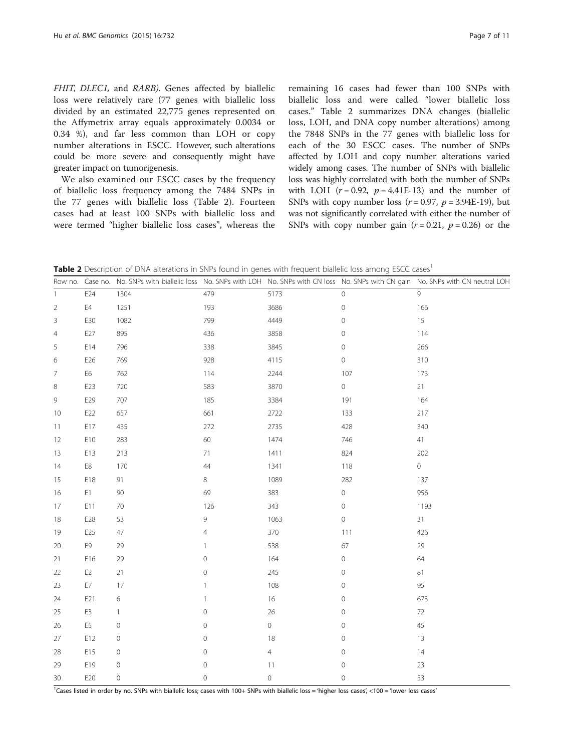<span id="page-6-0"></span>FHIT, DLEC1, and RARB). Genes affected by biallelic loss were relatively rare (77 genes with biallelic loss divided by an estimated 22,775 genes represented on the Affymetrix array equals approximately 0.0034 or 0.34 %), and far less common than LOH or copy number alterations in ESCC. However, such alterations could be more severe and consequently might have greater impact on tumorigenesis.

We also examined our ESCC cases by the frequency of biallelic loss frequency among the 7484 SNPs in the 77 genes with biallelic loss (Table 2). Fourteen cases had at least 100 SNPs with biallelic loss and were termed "higher biallelic loss cases", whereas the

remaining 16 cases had fewer than 100 SNPs with biallelic loss and were called "lower biallelic loss cases." Table 2 summarizes DNA changes (biallelic loss, LOH, and DNA copy number alterations) among the 7848 SNPs in the 77 genes with biallelic loss for each of the 30 ESCC cases. The number of SNPs affected by LOH and copy number alterations varied widely among cases. The number of SNPs with biallelic loss was highly correlated with both the number of SNPs with LOH  $(r = 0.92, p = 4.41E-13)$  and the number of SNPs with copy number loss  $(r = 0.97, p = 3.94E-19)$ , but was not significantly correlated with either the number of SNPs with copy number gain  $(r = 0.21, p = 0.26)$  or the

Table 2 Description of DNA alterations in SNPs found in genes with frequent biallelic loss among ESCC cases<sup>1</sup>

|                | Row no. Case no. |                     |                     |                |                     | No. SNPs with biallelic loss No. SNPs with LOH No. SNPs with CN loss No. SNPs with CN gain No. SNPs with CN neutral LOH |
|----------------|------------------|---------------------|---------------------|----------------|---------------------|-------------------------------------------------------------------------------------------------------------------------|
| $\mathbf{1}$   | E24              | 1304                | 479                 | 5173           | $\circ$             | $\mathsf{Q}$                                                                                                            |
| $\overline{2}$ | E4               | 1251                | 193                 | 3686           | $\mathbf 0$         | 166                                                                                                                     |
| 3              | E30              | 1082                | 799                 | 4449           | $\mathsf O$         | $15\,$                                                                                                                  |
| 4              | E27              | 895                 | 436                 | 3858           | $\mathsf{O}\xspace$ | 114                                                                                                                     |
| 5              | E14              | 796                 | 338                 | 3845           | $\mathsf{O}\xspace$ | 266                                                                                                                     |
| 6              | E26              | 769                 | 928                 | 4115           | $\mathbf 0$         | 310                                                                                                                     |
| 7              | E6               | 762                 | 114                 | 2244           | 107                 | 173                                                                                                                     |
| 8              | E23              | 720                 | 583                 | 3870           | $\mathsf{O}\xspace$ | 21                                                                                                                      |
| 9              | E29              | 707                 | 185                 | 3384           | 191                 | 164                                                                                                                     |
| 10             | E22              | 657                 | 661                 | 2722           | 133                 | 217                                                                                                                     |
| 11             | E17              | 435                 | 272                 | 2735           | 428                 | 340                                                                                                                     |
| 12             | E10              | 283                 | 60                  | 1474           | 746                 | 41                                                                                                                      |
| 13             | E13              | 213                 | $71\,$              | 1411           | 824                 | 202                                                                                                                     |
| 14             | E8               | 170                 | $44$                | 1341           | 118                 | $\overline{0}$                                                                                                          |
| 15             | E18              | 91                  | 8                   | 1089           | 282                 | 137                                                                                                                     |
| 16             | E1               | 90                  | 69                  | 383            | $\mathsf{O}\xspace$ | 956                                                                                                                     |
| 17             | E11              | $70\,$              | 126                 | 343            | $\mathbf 0$         | 1193                                                                                                                    |
| 18             | E28              | 53                  | 9                   | 1063           | $\mathbb O$         | 31                                                                                                                      |
| 19             | E25              | 47                  | 4                   | 370            | 111                 | 426                                                                                                                     |
| 20             | E9               | 29                  | 1                   | 538            | 67                  | 29                                                                                                                      |
| 21             | E16              | 29                  | $\mathbf 0$         | 164            | $\mathsf{O}\xspace$ | 64                                                                                                                      |
| 22             | E <sub>2</sub>   | 21                  | $\mathbf 0$         | 245            | $\mathbf 0$         | 81                                                                                                                      |
| 23             | E7               | 17                  | 1                   | 108            | $\mathsf{O}$        | 95                                                                                                                      |
| 24             | E21              | 6                   | $\mathbf{1}$        | $16\,$         | $\mathsf O$         | 673                                                                                                                     |
| 25             | E3               | $\mathbf{1}$        | $\circ$             | $26\,$         | $\mathsf{O}\xspace$ | 72                                                                                                                      |
| 26             | E5               | $\mathsf{O}\xspace$ | $\mathsf{O}\xspace$ | $\mathbb O$    | $\mathbf 0$         | 45                                                                                                                      |
| 27             | E12              | 0                   | $\mathbf 0$         | 18             | $\mathbf 0$         | 13                                                                                                                      |
| 28             | E15              | 0                   | $\mathbf 0$         | $\overline{4}$ | $\mathsf{O}\xspace$ | 14                                                                                                                      |
| 29             | E19              | 0                   | $\mathbf 0$         | 11             | $\mathbf 0$         | 23                                                                                                                      |
| 30             | E20              | 0                   | $\mathbf 0$         | $\mathbb O$    | $\mathbf 0$         | 53                                                                                                                      |

<sup>1</sup>Cases listed in order by no. SNPs with biallelic loss; cases with 100+ SNPs with biallelic loss = 'higher loss cases', <100 = 'lower loss cases'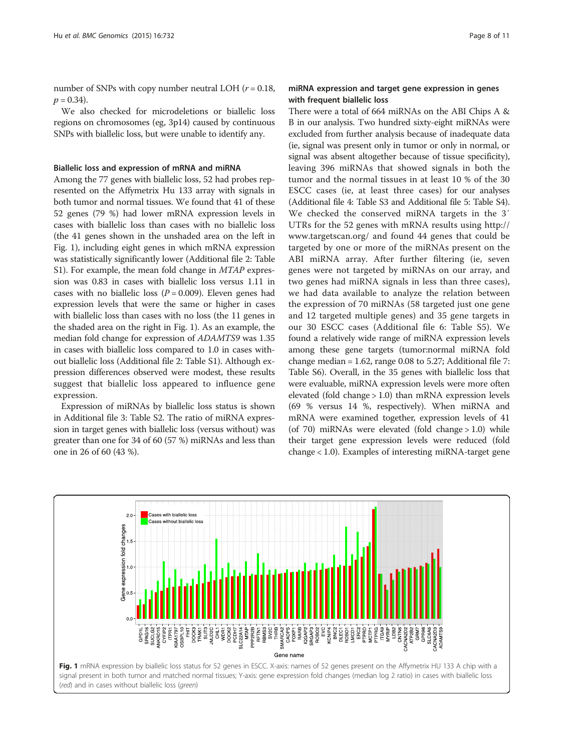number of SNPs with copy number neutral LOH  $(r = 0.18,$  $p = 0.34$ .

We also checked for microdeletions or biallelic loss regions on chromosomes (eg, 3p14) caused by continuous SNPs with biallelic loss, but were unable to identify any.

#### Biallelic loss and expression of mRNA and miRNA

Among the 77 genes with biallelic loss, 52 had probes represented on the Affymetrix Hu 133 array with signals in both tumor and normal tissues. We found that 41 of these 52 genes (79 %) had lower mRNA expression levels in cases with biallelic loss than cases with no biallelic loss (the 41 genes shown in the unshaded area on the left in Fig. 1), including eight genes in which mRNA expression was statistically significantly lower (Additional file [2](#page-9-0): Table S1). For example, the mean fold change in *MTAP* expression was 0.83 in cases with biallelic loss versus 1.11 in cases with no biallelic loss  $(P = 0.009)$ . Eleven genes had expression levels that were the same or higher in cases with biallelic loss than cases with no loss (the 11 genes in the shaded area on the right in Fig. 1). As an example, the median fold change for expression of ADAMTS9 was 1.35 in cases with biallelic loss compared to 1.0 in cases without biallelic loss (Additional file [2:](#page-9-0) Table S1). Although expression differences observed were modest, these results suggest that biallelic loss appeared to influence gene expression.

Expression of miRNAs by biallelic loss status is shown in Additional file [3](#page-9-0): Table S2. The ratio of miRNA expression in target genes with biallelic loss (versus without) was greater than one for 34 of 60 (57 %) miRNAs and less than one in 26 of 60 (43 %).

# miRNA expression and target gene expression in genes with frequent biallelic loss

There were a total of 664 miRNAs on the ABI Chips A & B in our analysis. Two hundred sixty-eight miRNAs were excluded from further analysis because of inadequate data (ie, signal was present only in tumor or only in normal, or signal was absent altogether because of tissue specificity), leaving 396 miRNAs that showed signals in both the tumor and the normal tissues in at least 10 % of the 30 ESCC cases (ie, at least three cases) for our analyses (Additional file [4](#page-9-0): Table S3 and Additional file [5:](#page-9-0) Table S4). We checked the conserved miRNA targets in the 3′ UTRs for the 52 genes with mRNA results using [http://](http://www.targetscan.org/) [www.targetscan.org/](http://www.targetscan.org/) and found 44 genes that could be targeted by one or more of the miRNAs present on the ABI miRNA array. After further filtering (ie, seven genes were not targeted by miRNAs on our array, and two genes had miRNA signals in less than three cases), we had data available to analyze the relation between the expression of 70 miRNAs (58 targeted just one gene and 12 targeted multiple genes) and 35 gene targets in our 30 ESCC cases (Additional file [6](#page-9-0): Table S5). We found a relatively wide range of miRNA expression levels among these gene targets (tumor:normal miRNA fold change median = 1.62, range 0.08 to 5.27; Additional file [7](#page-9-0): Table S6). Overall, in the 35 genes with biallelic loss that were evaluable, miRNA expression levels were more often elevated (fold change > 1.0) than mRNA expression levels (69 % versus 14 %, respectively). When miRNA and mRNA were examined together, expression levels of 41 (of 70) miRNAs were elevated (fold change > 1.0) while their target gene expression levels were reduced (fold change < 1.0). Examples of interesting miRNA-target gene

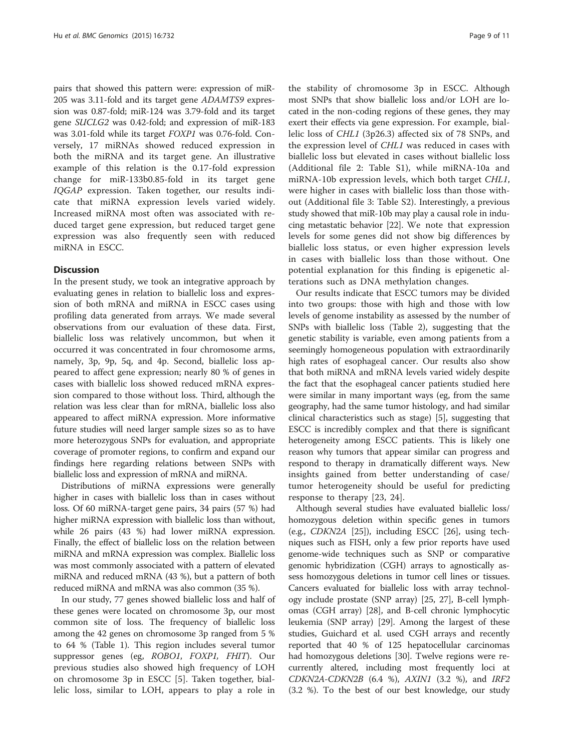pairs that showed this pattern were: expression of miR-205 was 3.11-fold and its target gene ADAMTS9 expression was 0.87-fold; miR-124 was 3.79-fold and its target gene SUCLG2 was 0.42-fold; and expression of miR-183 was 3.01-fold while its target FOXP1 was 0.76-fold. Conversely, 17 miRNAs showed reduced expression in both the miRNA and its target gene. An illustrative example of this relation is the 0.17-fold expression change for miR-133b0.85-fold in its target gene IQGAP expression. Taken together, our results indicate that miRNA expression levels varied widely. Increased miRNA most often was associated with reduced target gene expression, but reduced target gene expression was also frequently seen with reduced miRNA in ESCC.

# **Discussion**

In the present study, we took an integrative approach by evaluating genes in relation to biallelic loss and expression of both mRNA and miRNA in ESCC cases using profiling data generated from arrays. We made several observations from our evaluation of these data. First, biallelic loss was relatively uncommon, but when it occurred it was concentrated in four chromosome arms, namely, 3p, 9p, 5q, and 4p. Second, biallelic loss appeared to affect gene expression; nearly 80 % of genes in cases with biallelic loss showed reduced mRNA expression compared to those without loss. Third, although the relation was less clear than for mRNA, biallelic loss also appeared to affect miRNA expression. More informative future studies will need larger sample sizes so as to have more heterozygous SNPs for evaluation, and appropriate coverage of promoter regions, to confirm and expand our findings here regarding relations between SNPs with biallelic loss and expression of mRNA and miRNA.

Distributions of miRNA expressions were generally higher in cases with biallelic loss than in cases without loss. Of 60 miRNA-target gene pairs, 34 pairs (57 %) had higher miRNA expression with biallelic loss than without, while 26 pairs (43 %) had lower miRNA expression. Finally, the effect of biallelic loss on the relation between miRNA and mRNA expression was complex. Biallelic loss was most commonly associated with a pattern of elevated miRNA and reduced mRNA (43 %), but a pattern of both reduced miRNA and mRNA was also common (35 %).

In our study, 77 genes showed biallelic loss and half of these genes were located on chromosome 3p, our most common site of loss. The frequency of biallelic loss among the 42 genes on chromosome 3p ranged from 5 % to 64 % (Table [1](#page-4-0)). This region includes several tumor suppressor genes (eg, ROBO1, FOXP1, FHIT). Our previous studies also showed high frequency of LOH on chromosome 3p in ESCC [[5\]](#page-9-0). Taken together, biallelic loss, similar to LOH, appears to play a role in

the stability of chromosome 3p in ESCC. Although most SNPs that show biallelic loss and/or LOH are located in the non-coding regions of these genes, they may exert their effects via gene expression. For example, biallelic loss of CHL1 (3p26.3) affected six of 78 SNPs, and the expression level of CHL1 was reduced in cases with biallelic loss but elevated in cases without biallelic loss (Additional file [2:](#page-9-0) Table S1), while miRNA-10a and miRNA-10b expression levels, which both target CHL1, were higher in cases with biallelic loss than those without (Additional file [3:](#page-9-0) Table S2). Interestingly, a previous study showed that miR-10b may play a causal role in inducing metastatic behavior [\[22\]](#page-10-0). We note that expression levels for some genes did not show big differences by biallelic loss status, or even higher expression levels in cases with biallelic loss than those without. One potential explanation for this finding is epigenetic alterations such as DNA methylation changes.

Our results indicate that ESCC tumors may be divided into two groups: those with high and those with low levels of genome instability as assessed by the number of SNPs with biallelic loss (Table [2](#page-6-0)), suggesting that the genetic stability is variable, even among patients from a seemingly homogeneous population with extraordinarily high rates of esophageal cancer. Our results also show that both miRNA and mRNA levels varied widely despite the fact that the esophageal cancer patients studied here were similar in many important ways (eg, from the same geography, had the same tumor histology, and had similar clinical characteristics such as stage) [[5\]](#page-9-0), suggesting that ESCC is incredibly complex and that there is significant heterogeneity among ESCC patients. This is likely one reason why tumors that appear similar can progress and respond to therapy in dramatically different ways. New insights gained from better understanding of case/ tumor heterogeneity should be useful for predicting response to therapy [[23, 24](#page-10-0)].

Although several studies have evaluated biallelic loss/ homozygous deletion within specific genes in tumors (e.g., CDKN2A [\[25\]](#page-10-0)), including ESCC [[26](#page-10-0)], using techniques such as FISH, only a few prior reports have used genome-wide techniques such as SNP or comparative genomic hybridization (CGH) arrays to agnostically assess homozygous deletions in tumor cell lines or tissues. Cancers evaluated for biallelic loss with array technology include prostate (SNP array) [\[25, 27\]](#page-10-0), B-cell lymphomas (CGH array) [[28](#page-10-0)], and B-cell chronic lymphocytic leukemia (SNP array) [\[29](#page-10-0)]. Among the largest of these studies, Guichard et al. used CGH arrays and recently reported that 40 % of 125 hepatocellular carcinomas had homozygous deletions [\[30\]](#page-10-0). Twelve regions were recurrently altered, including most frequently loci at  $CDKN2A-CDKN2B$  (6.4 %),  $AXINI$  (3.2 %), and IRF2 (3.2 %). To the best of our best knowledge, our study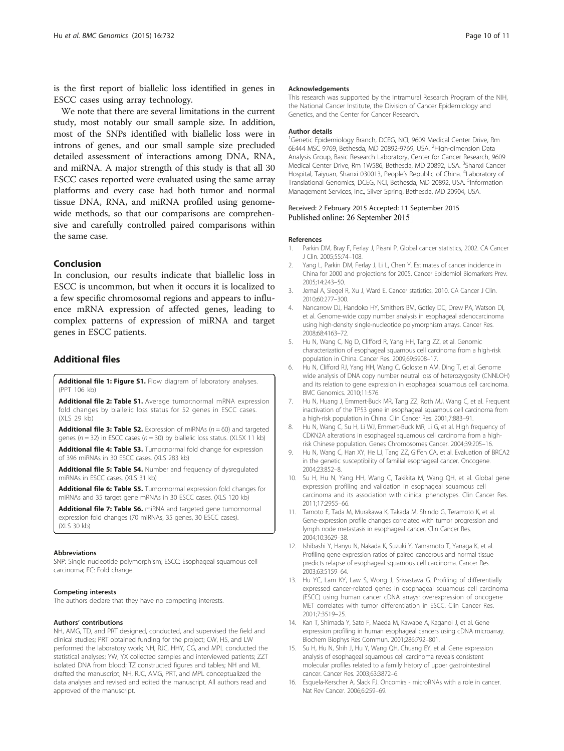<span id="page-9-0"></span>is the first report of biallelic loss identified in genes in ESCC cases using array technology.

We note that there are several limitations in the current study, most notably our small sample size. In addition, most of the SNPs identified with biallelic loss were in introns of genes, and our small sample size precluded detailed assessment of interactions among DNA, RNA, and miRNA. A major strength of this study is that all 30 ESCC cases reported were evaluated using the same array platforms and every case had both tumor and normal tissue DNA, RNA, and miRNA profiled using genomewide methods, so that our comparisons are comprehensive and carefully controlled paired comparisons within the same case.

# Conclusion

In conclusion, our results indicate that biallelic loss in ESCC is uncommon, but when it occurs it is localized to a few specific chromosomal regions and appears to influence mRNA expression of affected genes, leading to complex patterns of expression of miRNA and target genes in ESCC patients.

# Additional files

[Additional file 1: Figure S1.](http://www.biomedcentral.com/content/supplementary/s12864-015-1919-0-s1.ppt) Flow diagram of laboratory analyses. (PPT 106 kb)

[Additional file 2: Table S1.](http://www.biomedcentral.com/content/supplementary/s12864-015-1919-0-s2.xls) Average tumor:normal mRNA expression fold changes by biallelic loss status for 52 genes in ESCC cases. (XLS 29 kb)

**[Additional file 3: Table S2.](http://www.biomedcentral.com/content/supplementary/s12864-015-1919-0-s3.xlsx)** Expression of miRNAs ( $n = 60$ ) and targeted genes ( $n = 32$ ) in ESCC cases ( $n = 30$ ) by biallelic loss status. (XLSX 11 kb)

[Additional file 4: Table S3.](http://www.biomedcentral.com/content/supplementary/s12864-015-1919-0-s4.xls) Tumor:normal fold change for expression of 396 miRNAs in 30 ESCC cases. (XLS 283 kb)

[Additional file 5: Table S4.](http://www.biomedcentral.com/content/supplementary/s12864-015-1919-0-s5.xls) Number and frequency of dysregulated miRNAs in ESCC cases. (XLS 31 kb)

[Additional file 6: Table S5.](http://www.biomedcentral.com/content/supplementary/s12864-015-1919-0-s6.xls) Tumor:normal expression fold changes for miRNAs and 35 target gene mRNAs in 30 ESCC cases. (XLS 120 kb)

[Additional file 7: Table S6.](http://www.biomedcentral.com/content/supplementary/s12864-015-1919-0-s7.xls) miRNA and targeted gene tumor:normal expression fold changes (70 miRNAs, 35 genes, 30 ESCC cases). (XLS 30 kb)

#### Abbreviations

SNP: Single nucleotide polymorphism; ESCC: Esophageal squamous cell carcinoma; FC: Fold change.

#### Competing interests

The authors declare that they have no competing interests.

#### Authors' contributions

NH, AMG, TD, and PRT designed, conducted, and supervised the field and clinical studies; PRT obtained funding for the project; CW, HS, and LW performed the laboratory work; NH, RJC, HHY, CG, and MPL conducted the statistical analyses; YW, YX collected samples and interviewed patients; ZZT isolated DNA from blood; TZ constructed figures and tables; NH and ML drafted the manuscript; NH, RJC, AMG, PRT, and MPL conceptualized the data analyses and revised and edited the manuscript. All authors read and approved of the manuscript.

#### Acknowledgements

This research was supported by the Intramural Research Program of the NIH, the National Cancer Institute, the Division of Cancer Epidemiology and Genetics, and the Center for Cancer Research.

#### Author details

<sup>1</sup>Genetic Epidemiology Branch, DCEG, NCI, 9609 Medical Center Drive, Rm 6E444 MSC 9769, Bethesda, MD 20892-9769, USA. <sup>2</sup>High-dimension Data Analysis Group, Basic Research Laboratory, Center for Cancer Research, 9609 Medical Center Drive, Rm 1W586, Bethesda, MD 20892, USA. <sup>3</sup>Shanxi Cancer Hospital, Taiyuan, Shanxi 030013, People's Republic of China. <sup>4</sup>Laboratory of Translational Genomics, DCEG, NCI, Bethesda, MD 20892, USA. <sup>5</sup>Information Management Services, Inc., Silver Spring, Bethesda, MD 20904, USA.

#### Received: 2 February 2015 Accepted: 11 September 2015 Published online: 26 September 2015

#### References

- 1. Parkin DM, Bray F, Ferlay J, Pisani P. Global cancer statistics, 2002. CA Cancer J Clin. 2005;55:74–108.
- Yang L, Parkin DM, Ferlay J, Li L, Chen Y. Estimates of cancer incidence in China for 2000 and projections for 2005. Cancer Epidemiol Biomarkers Prev. 2005;14:243–50.
- 3. Jemal A, Siegel R, Xu J, Ward E. Cancer statistics, 2010. CA Cancer J Clin. 2010;60:277–300.
- 4. Nancarrow DJ, Handoko HY, Smithers BM, Gotley DC, Drew PA, Watson DI, et al. Genome-wide copy number analysis in esophageal adenocarcinoma using high-density single-nucleotide polymorphism arrays. Cancer Res. 2008;68:4163–72.
- 5. Hu N, Wang C, Ng D, Clifford R, Yang HH, Tang ZZ, et al. Genomic characterization of esophageal squamous cell carcinoma from a high-risk population in China. Cancer Res. 2009;69:5908–17.
- 6. Hu N, Clifford RJ, Yang HH, Wang C, Goldstein AM, Ding T, et al. Genome wide analysis of DNA copy number neutral loss of heterozygosity (CNNLOH) and its relation to gene expression in esophageal squamous cell carcinoma. BMC Genomics. 2010;11:576.
- 7. Hu N, Huang J, Emmert-Buck MR, Tang ZZ, Roth MJ, Wang C, et al. Frequent inactivation of the TP53 gene in esophageal squamous cell carcinoma from a high-risk population in China. Clin Cancer Res. 2001;7:883–91.
- 8. Hu N, Wang C, Su H, Li WJ, Emmert-Buck MR, Li G, et al. High frequency of CDKN2A alterations in esophageal squamous cell carcinoma from a highrisk Chinese population. Genes Chromosomes Cancer. 2004;39:205–16.
- 9. Hu N, Wang C, Han XY, He LJ, Tang ZZ, Giffen CA, et al. Evaluation of BRCA2 in the genetic susceptibility of familial esophageal cancer. Oncogene. 2004;23:852–8.
- 10. Su H, Hu N, Yang HH, Wang C, Takikita M, Wang QH, et al. Global gene expression profiling and validation in esophageal squamous cell carcinoma and its association with clinical phenotypes. Clin Cancer Res. 2011;17:2955–66.
- 11. Tamoto E, Tada M, Murakawa K, Takada M, Shindo G, Teramoto K, et al. Gene-expression profile changes correlated with tumor progression and lymph node metastasis in esophageal cancer. Clin Cancer Res. 2004;10:3629–38.
- 12. Ishibashi Y, Hanyu N, Nakada K, Suzuki Y, Yamamoto T, Yanaga K, et al. Profiling gene expression ratios of paired cancerous and normal tissue predicts relapse of esophageal squamous cell carcinoma. Cancer Res. 2003;63:5159–64.
- 13. Hu YC, Lam KY, Law S, Wong J, Srivastava G. Profiling of differentially expressed cancer-related genes in esophageal squamous cell carcinoma (ESCC) using human cancer cDNA arrays: overexpression of oncogene MET correlates with tumor differentiation in ESCC. Clin Cancer Res. 2001;7:3519–25.
- 14. Kan T, Shimada Y, Sato F, Maeda M, Kawabe A, Kaganoi J, et al. Gene expression profiling in human esophageal cancers using cDNA microarray. Biochem Biophys Res Commun. 2001;286:792–801.
- 15. Su H, Hu N, Shih J, Hu Y, Wang QH, Chuang EY, et al. Gene expression analysis of esophageal squamous cell carcinoma reveals consistent molecular profiles related to a family history of upper gastrointestinal cancer. Cancer Res. 2003;63:3872–6.
- 16. Esquela-Kerscher A, Slack FJ. Oncomirs microRNAs with a role in cancer. Nat Rev Cancer. 2006;6:259–69.